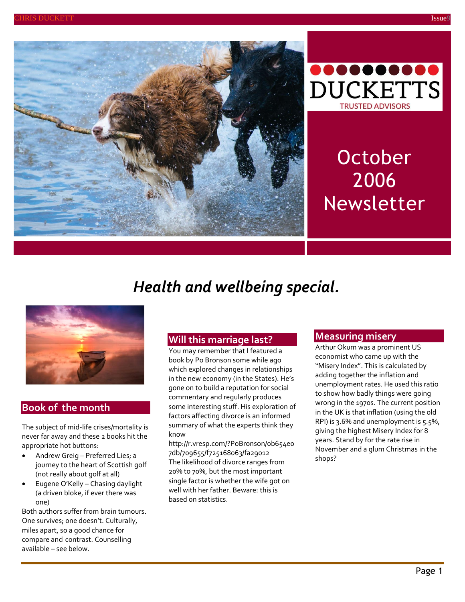



# **October** 2006 Newsletter

# *Health and wellbeing special.*



#### **Book of the month**

The subject of mid-life crises/mortality is never far away and these 2 books hit the appropriate hot buttons:

- Andrew Greig Preferred Lies; a journey to the heart of Scottish golf (not really about golf at all)
- Eugene O'Kelly Chasing daylight (a driven bloke, if ever there was one)

Both authors suffer from brain tumours. One survives; one doesn't. Culturally, miles apart, so a good chance for compare and contrast. Counselling available – see below.

#### **Will this marriage last?**

You may remember that I featured a book by Po Bronson some while ago which explored changes in relationships in the new economy (in the States). He's gone on to build a reputation for social commentary and regularly produces some interesting stuff. His exploration of factors affecting divorce is an informed summary of what the experts think they know

[http://r.vresp.com/?PoBronson/0b654e0](http://r.vresp.com/?PoBronson/0b654e07db/709655/f725168063/fa29012) [7db/709655/f725168063/fa29012](http://r.vresp.com/?PoBronson/0b654e07db/709655/f725168063/fa29012) The likelihood of divorce ranges from 20% to 70%, but the most important single factor is whether the wife got on well with her father. Beware: this is based on statistics.

#### **Measuring misery**

Arthur Okum was a prominent US economist who came up with the "Misery Index". This is calculated by adding together the inflation and unemployment rates. He used this ratio to show how badly things were going wrong in the 1970s. The current position in the UK is that inflation (using the old RPI) is 3.6% and unemployment is 5.5%, giving the highest Misery Index for 8 years. Stand by for the rate rise in November and a glum Christmas in the shops?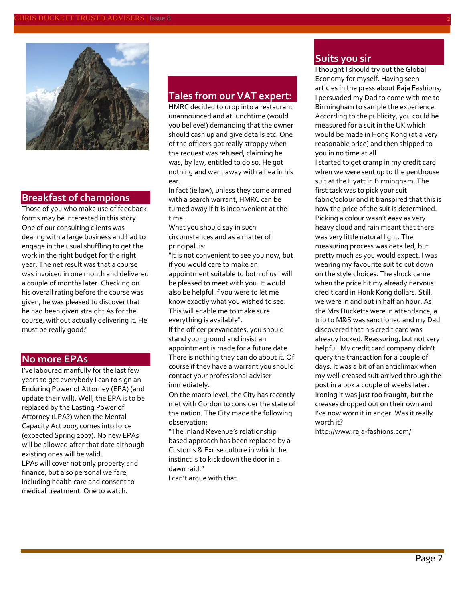

#### **Breakfast of champions**

Those of you who make use of feedback forms may be interested in this story. One of our consulting clients was dealing with a large business and had to engage in the usual shuffling to get the work in the right budget for the right year. The net result was that a course was invoiced in one month and delivered a couple of months later. Checking on his overall rating before the course was given, he was pleased to discover that he had been given straight As for the course, without actually delivering it. He must be really good?

#### **No more EPAs**

I've laboured manfully for the last few years to get everybody I can to sign an Enduring Power of Attorney (EPA) (and update their will). Well, the EPA is to be replaced by the Lasting Power of Attorney (LPA?) when the Mental Capacity Act 2005 comes into force (expected Spring 2007). No new EPAs will be allowed after that date although existing ones will be valid. LPAs will cover not only property and finance, but also personal welfare, including health care and consent to medical treatment. One to watch.

#### **Tales from our VAT expert:**

HMRC decided to drop into a restaurant unannounced and at lunchtime (would you believe!) demanding that the owner should cash up and give details etc. One of the officers got really stroppy when the request was refused, claiming he was, by law, entitled to do so. He got nothing and went away with a flea in his ear.

In fact (ie law), unless they come armed with a search warrant, HMRC can be turned away if it is inconvenient at the time.

What you should say in such circumstances and as a matter of principal, is:

"It is not convenient to see you now, but if you would care to make an appointment suitable to both of us I will be pleased to meet with you. It would also be helpful if you were to let me know exactly what you wished to see. This will enable me to make sure everything is available".

If the officer prevaricates, you should stand your ground and insist an appointment is made for a future date. There is nothing they can do about it. Of course if they have a warrant you should contact your professional adviser immediately.

On the macro level, the City has recently met with Gordon to consider the state of the nation. The City made the following observation:

"The Inland Revenue's relationship based approach has been replaced by a Customs & Excise culture in which the instinct is to kick down the door in a dawn raid."

I can't argue with that.

#### **Suits you sir**

I thought I should try out the Global Economy for myself. Having seen articles in the press about Raja Fashions, I persuaded my Dad to come with me to Birmingham to sample the experience. According to the publicity, you could be measured for a suit in the UK which would be made in Hong Kong (at a very reasonable price) and then shipped to you in no time at all.

I started to get cramp in my credit card when we were sent up to the penthouse suit at the Hyatt in Birmingham. The first task was to pick your suit fabric/colour and it transpired that this is how the price of the suit is determined. Picking a colour wasn't easy as very heavy cloud and rain meant that there was very little natural light. The measuring process was detailed, but pretty much as you would expect. I was wearing my favourite suit to cut down on the style choices. The shock came when the price hit my already nervous credit card in Honk Kong dollars. Still, we were in and out in half an hour. As the Mrs Ducketts were in attendance, a trip to M&S was sanctioned and my Dad discovered that his credit card was already locked. Reassuring, but not very helpful. My credit card company didn't query the transaction for a couple of days. It was a bit of an anticlimax when my well-creased suit arrived through the post in a box a couple of weeks later. Ironing it was just too fraught, but the creases dropped out on their own and I've now worn it in anger. Was it really worth it?

<http://www.raja-fashions.com/>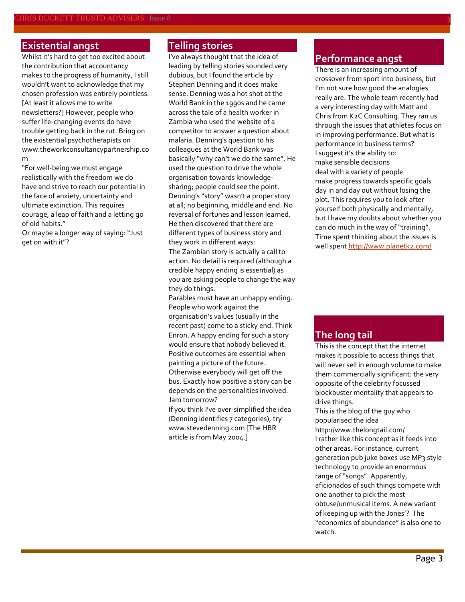#### **Existential angst**

Whilst it's hard to get too excited about the contribution that accountancy makes to the progress of humanity, I still wouldn't want to acknowledge that my chosen profession was entirely pointless. [At least it allows me to write newsletters?] However, people who suffer life-changing events do have trouble getting back in the rut. Bring on the existential psychotherapists on [www.theworkconsultancypartnership.co](http://www.theworkconsultancypartnership.com/) [m](http://www.theworkconsultancypartnership.com/)

"For well-being we must engage realistically with the freedom we do have and strive to reach our potential in the face of anxiety, uncertainty and ultimate extinction. This requires courage, a leap of faith and a letting go of old habits."

Or maybe a longer way of saying: "Just get on with it"?

### **Telling stories**

I've always thought that the idea of leading by telling stories sounded very dubious, but I found the article by Stephen Denning and it does make sense. Denning was a hot shot at the World Bank in the 1990s and he came across the tale of a health worker in Zambia who used the website of a competitor to answer a question about malaria. Denning's question to his colleagues at the World Bank was basically "why can't we do the same". He used the question to drive the whole organisation towards knowledgesharing; people could see the point. Denning's "story" wasn't a proper story at all; no beginning, middle and end. No reversal of fortunes and lesson learned. He then discovered that there are different types of business story and they work in different ways:

The Zambian story is actually a call to action. No detail is required (although a credible happy ending is essential) as you are asking people to change the way they do things.

Parables must have an unhappy ending. People who work against the organisation's values (usually in the recent past) come to a sticky end. Think Enron. A happy ending for such a story would ensure that nobody believed it. Positive outcomes are essential when painting a picture of the future. Otherwise everybody will get off the bus. Exactly how positive a story can be depends on the personalities involved. Jam tomorrow?

If you think I've over-simplified the idea (Denning identifies 7 categories), try [www.stevedenning.com](http://www.stevedenning.com/) [The HBR article is from May 2004.]

#### **Performance angst**

There is an increasing amount of crossover from sport into business, but I'm not sure how good the analogies really are. The whole team recently had a very interesting day with Matt and Chris from K2C Consulting. They ran us through the issues that athletes focus on in improving performance. But what is performance in business terms? I suggest it's the ability to: make sensible decisions deal with a variety of people make progress towards specific goals day in and day out without losing the plot. This requires you to look after yourself both physically and mentally, but I have my doubts about whether you can do much in the way of "training". Time spent thinking about the issues is well spent<http://www.planetk2.com/>

#### **The long tail**

This is the concept that the internet makes it possible to access things that will never sell in enough volume to make them commercially significant: the very opposite of the celebrity focussed blockbuster mentality that appears to drive things.

This is the blog of the guy who popularised the idea <http://www.thelongtail.com/> I rather like this concept as it feeds into other areas. For instance, current generation pub juke boxes use MP3 style technology to provide an enormous range of "songs". Apparently, aficionados of such things compete with one another to pick the most obtuse/unmusical items. A new variant of keeping up with the Jones'? The "economics of abundance" is also one to watch.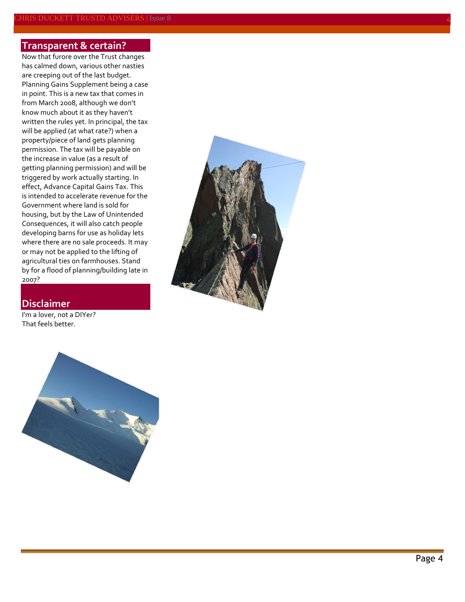#### **Transparent & certain?**

Now that furore over the Trust changes has calmed down, various other nasties are creeping out of the last budget. Planning Gains Supplement being a case in point. This is a new tax that comes in from March 2008, although we don't know much about it as they haven't written the rules yet. In principal, the tax will be applied (at what rate?) when a property/piece of land gets planning permission. The tax will be payable on the increase in value (as a result of getting planning permission) and will be triggered by work actually starting. In effect, Advance Capital Gains Tax. This is intended to accelerate revenue for the Government where land is sold for housing, but by the Law of Unintended Consequences, it will also catch people developing barns for use as holiday lets where there are no sale proceeds. It may or may not be applied to the lifting of agricultural ties on farmhouses. Stand by for a flood of planning/building late in 2007?

#### **Disclaimer**

I'm a lover, not a DIYer? That feels better.